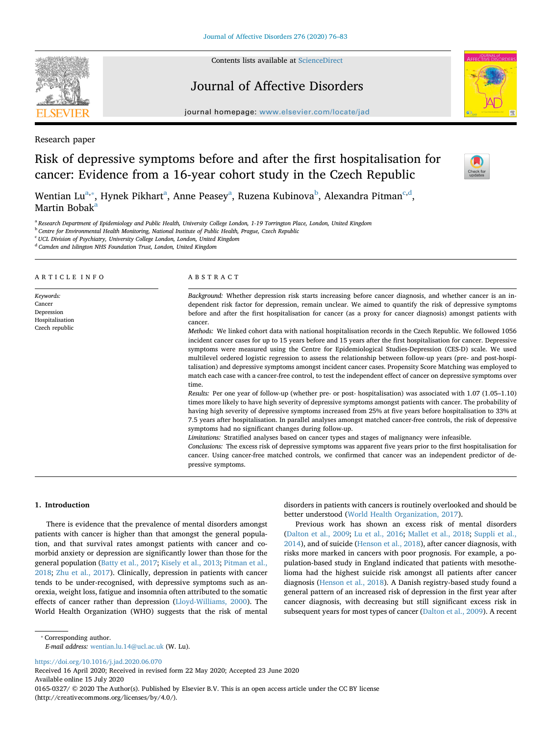Contents lists available at [ScienceDirect](http://www.sciencedirect.com/science/journal/01650327)

# Journal of Affective Disorders

journal homepage: [www.elsevier.com/locate/jad](https://www.elsevier.com/locate/jad)

Research paper

## Risk of depressive symptoms before and after the first hospitalisation for cancer: Evidence from a 16-year cohort study in the Czech Republic

Wentian Lu $^{\mathrm{a},*}$ , Hynek Pikhart $^{\mathrm{a}}$ , Anne Peasey $^{\mathrm{a}}$ , Ruzena Ku[b](#page-0-2)inova $^{\mathrm{b}}$ , Alexandra Pitman $^{\mathrm{c},\mathrm{d}}$ , M[a](#page-0-0)rtin Bobak<sup>a</sup>

<span id="page-0-0"></span><sup>a</sup> *Research Department of Epidemiology and Public Health, University College London, 1-19 Torrington Place, London, United Kingdom*

<span id="page-0-2"></span><sup>b</sup> *Centre for Environmental Health Monitoring, National Institute of Public Health, Prague, Czech Republic*

<span id="page-0-3"></span><sup>c</sup> *UCL Division of Psychiatry, University College London, London, United Kingdom*

<span id="page-0-4"></span><sup>d</sup> *Camden and Islington NHS Foundation Trust, London, United Kingdom*

#### ARTICLE INFO *Keywords:* Cancer Depression Hospitalisation Czech republic ABSTRACT *Background:* Whether depression risk starts increasing before cancer diagnosis, and whether cancer is an independent risk factor for depression, remain unclear. We aimed to quantify the risk of depressive symptoms before and after the first hospitalisation for cancer (as a proxy for cancer diagnosis) amongst patients with cancer. *Methods:* We linked cohort data with national hospitalisation records in the Czech Republic. We followed 1056 incident cancer cases for up to 15 years before and 15 years after the first hospitalisation for cancer. Depressive symptoms were measured using the Centre for Epidemiological Studies-Depression (CES-D) scale. We used multilevel ordered logistic regression to assess the relationship between follow-up years (pre- and post-hospitalisation) and depressive symptoms amongst incident cancer cases. Propensity Score Matching was employed to match each case with a cancer-free control, to test the independent effect of cancer on depressive symptoms over time. *Results:* Per one year of follow-up (whether pre- or post- hospitalisation) was associated with 1.07 (1.05–1.10) times more likely to have high severity of depressive symptoms amongst patients with cancer. The probability of having high severity of depressive symptoms increased from 25% at five years before hospitalisation to 33% at 7.5 years after hospitalisation. In parallel analyses amongst matched cancer-free controls, the risk of depressive

symptoms had no significant changes during follow-up.

*Limitations:* Stratified analyses based on cancer types and stages of malignancy were infeasible.

*Conclusions:* The excess risk of depressive symptoms was apparent five years prior to the first hospitalisation for cancer. Using cancer-free matched controls, we confirmed that cancer was an independent predictor of depressive symptoms.

## **1. Introduction**

There is evidence that the prevalence of mental disorders amongst patients with cancer is higher than that amongst the general population, and that survival rates amongst patients with cancer and comorbid anxiety or depression are significantly lower than those for the general population [\(Batty et al., 2017;](#page-6-0) [Kisely et al., 2013](#page-7-0); [Pitman et al.,](#page-7-1) [2018;](#page-7-1) [Zhu et al., 2017\)](#page-7-2). Clinically, depression in patients with cancer tends to be under-recognised, with depressive symptoms such as anorexia, weight loss, fatigue and insomnia often attributed to the somatic effects of cancer rather than depression ([Lloyd-Williams, 2000\)](#page-7-3). The World Health Organization (WHO) suggests that the risk of mental

disorders in patients with cancers is routinely overlooked and should be better understood [\(World Health Organization, 2017\)](#page-7-4).

Previous work has shown an excess risk of mental disorders ([Dalton et al., 2009](#page-7-5); [Lu et al., 2016](#page-7-6); [Mallet et al., 2018;](#page-7-7) [Suppli et al.,](#page-7-8) [2014\)](#page-7-8), and of suicide ([Henson et al., 2018\)](#page-7-9), after cancer diagnosis, with risks more marked in cancers with poor prognosis. For example, a population-based study in England indicated that patients with mesothelioma had the highest suicide risk amongst all patients after cancer diagnosis ([Henson et al., 2018](#page-7-9)). A Danish registry-based study found a general pattern of an increased risk of depression in the first year after cancer diagnosis, with decreasing but still significant excess risk in subsequent years for most types of cancer [\(Dalton et al., 2009](#page-7-5)). A recent

<span id="page-0-1"></span>⁎ Corresponding author.

*E-mail address:* [wentian.lu.14@ucl.ac.uk](mailto:wentian.lu.14@ucl.ac.uk) (W. Lu).

<https://doi.org/10.1016/j.jad.2020.06.070>

Received 16 April 2020; Received in revised form 22 May 2020; Accepted 23 June 2020 Available online 15 July 2020 0165-0327/ © 2020 The Author(s). Published by Elsevier B.V. This is an open access article under the CC BY license (http://creativecommons.org/licenses/by/4.0/).





 $\frac{N}{2}$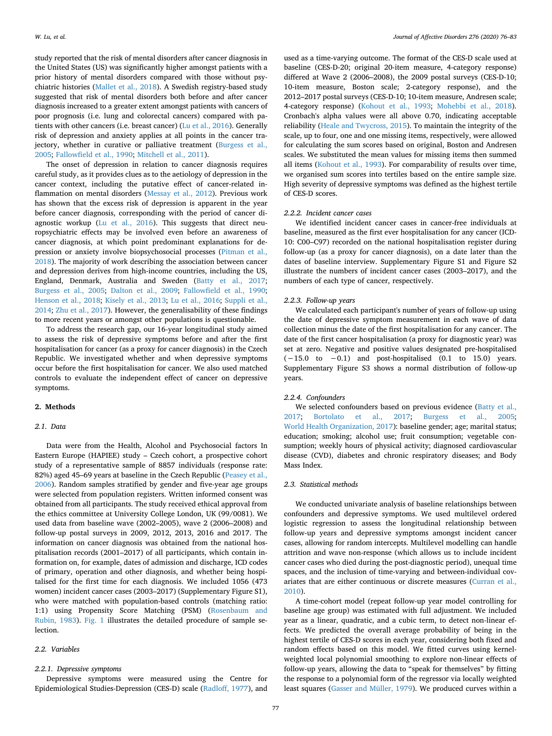study reported that the risk of mental disorders after cancer diagnosis in the United States (US) was significantly higher amongst patients with a prior history of mental disorders compared with those without psychiatric histories ([Mallet et al., 2018](#page-7-7)). A Swedish registry-based study suggested that risk of mental disorders both before and after cancer diagnosis increased to a greater extent amongst patients with cancers of poor prognosis (i.e. lung and colorectal cancers) compared with patients with other cancers (i.e. breast cancer) ([Lu et al., 2016](#page-7-6)). Generally risk of depression and anxiety applies at all points in the cancer trajectory, whether in curative or palliative treatment ([Burgess et al.,](#page-7-10) [2005;](#page-7-10) [Fallowfield et al., 1990](#page-7-11); [Mitchell et al., 2011\)](#page-7-12).

The onset of depression in relation to cancer diagnosis requires careful study, as it provides clues as to the aetiology of depression in the cancer context, including the putative effect of cancer-related inflammation on mental disorders ([Messay et al., 2012](#page-7-13)). Previous work has shown that the excess risk of depression is apparent in the year before cancer diagnosis, corresponding with the period of cancer diagnostic workup [\(Lu et al., 2016](#page-7-6)). This suggests that direct neuropsychiatric effects may be involved even before an awareness of cancer diagnosis, at which point predominant explanations for depression or anxiety involve biopsychosocial processes ([Pitman et al.,](#page-7-1) [2018\)](#page-7-1). The majority of work describing the association between cancer and depression derives from high-income countries, including the US, England, Denmark, Australia and Sweden [\(Batty et al., 2017](#page-6-0); [Burgess et al., 2005](#page-7-10); [Dalton et al., 2009;](#page-7-5) [Fallowfield et al., 1990](#page-7-11); [Henson et al., 2018](#page-7-9); [Kisely et al., 2013](#page-7-0); [Lu et al., 2016;](#page-7-6) [Suppli et al.,](#page-7-8) [2014;](#page-7-8) [Zhu et al., 2017](#page-7-2)). However, the generalisability of these findings to more recent years or amongst other populations is questionable.

To address the research gap, our 16-year longitudinal study aimed to assess the risk of depressive symptoms before and after the first hospitalisation for cancer (as a proxy for cancer diagnosis) in the Czech Republic. We investigated whether and when depressive symptoms occur before the first hospitalisation for cancer. We also used matched controls to evaluate the independent effect of cancer on depressive symptoms.

## **2. Methods**

## *2.1. Data*

Data were from the Health, Alcohol and Psychosocial factors In Eastern Europe (HAPIEE) study – Czech cohort, a prospective cohort study of a representative sample of 8857 individuals (response rate: 82%) aged 45–69 years at baseline in the Czech Republic [\(Peasey et al.,](#page-7-14) [2006\)](#page-7-14). Random samples stratified by gender and five-year age groups were selected from population registers. Written informed consent was obtained from all participants. The study received ethical approval from the ethics committee at University College London, UK (99/0081). We used data from baseline wave (2002–2005), wave 2 (2006–2008) and follow-up postal surveys in 2009, 2012, 2013, 2016 and 2017. The information on cancer diagnosis was obtained from the national hospitalisation records (2001–2017) of all participants, which contain information on, for example, dates of admission and discharge, ICD codes of primary, operation and other diagnosis, and whether being hospitalised for the first time for each diagnosis. We included 1056 (473 women) incident cancer cases (2003–2017) (Supplementary Figure S1), who were matched with population-based controls (matching ratio: 1:1) using Propensity Score Matching (PSM) ([Rosenbaum and](#page-7-15) [Rubin, 1983](#page-7-15)). [Fig. 1](#page-2-0) illustrates the detailed procedure of sample selection.

#### *2.2. Variables*

#### *2.2.1. Depressive symptoms*

Depressive symptoms were measured using the Centre for Epidemiological Studies-Depression (CES-D) scale [\(Radloff, 1977\)](#page-7-16), and

used as a time-varying outcome. The format of the CES-D scale used at baseline (CES-D-20; original 20-item measure, 4-category response) differed at Wave 2 (2006–2008), the 2009 postal surveys (CES-D-10; 10-item measure, Boston scale; 2-category response), and the 2012–2017 postal surveys (CES-D-10; 10-item measure, Andresen scale; 4-category response) ([Kohout et al., 1993;](#page-7-17) [Mohebbi et al., 2018](#page-7-18)). Cronbach's alpha values were all above 0.70, indicating acceptable reliability [\(Heale and Twycross, 2015](#page-7-19)). To maintain the integrity of the scale, up to four, one and one missing items, respectively, were allowed for calculating the sum scores based on original, Boston and Andresen scales. We substituted the mean values for missing items then summed all items ([Kohout et al., 1993\)](#page-7-17). For comparability of results over time, we organised sum scores into tertiles based on the entire sample size. High severity of depressive symptoms was defined as the highest tertile of CES-D scores.

## *2.2.2. Incident cancer cases*

We identified incident cancer cases in cancer-free individuals at baseline, measured as the first ever hospitalisation for any cancer (ICD-10: C00–C97) recorded on the national hospitalisation register during follow-up (as a proxy for cancer diagnosis), on a date later than the dates of baseline interview. Supplementary Figure S1 and Figure S2 illustrate the numbers of incident cancer cases (2003–2017), and the numbers of each type of cancer, respectively.

#### *2.2.3. Follow-up years*

We calculated each participant's number of years of follow-up using the date of depressive symptom measurement in each wave of data collection minus the date of the first hospitalisation for any cancer. The date of the first cancer hospitalisation (a proxy for diagnostic year) was set at zero. Negative and positive values designated pre-hospitalised (−15.0 to −0.1) and post-hospitalised (0.1 to 15.0) years. Supplementary Figure S3 shows a normal distribution of follow-up years.

## *2.2.4. Confounders*

We selected confounders based on previous evidence ([Batty et al.,](#page-6-0) [2017;](#page-6-0) [Bortolato et al., 2017;](#page-7-20) [Burgess et al., 2005](#page-7-10); [World Health Organization, 2017](#page-7-4)): baseline gender; age; marital status; education; smoking; alcohol use; fruit consumption; vegetable consumption; weekly hours of physical activity; diagnosed cardiovascular disease (CVD), diabetes and chronic respiratory diseases; and Body Mass Index.

## *2.3. Statistical methods*

We conducted univariate analysis of baseline relationships between confounders and depressive symptoms. We used multilevel ordered logistic regression to assess the longitudinal relationship between follow-up years and depressive symptoms amongst incident cancer cases, allowing for random intercepts. Multilevel modelling can handle attrition and wave non-response (which allows us to include incident cancer cases who died during the post-diagnostic period), unequal time spaces, and the inclusion of time-varying and between-individual covariates that are either continuous or discrete measures ([Curran et al.,](#page-7-21) [2010\)](#page-7-21).

A time-cohort model (repeat follow-up year model controlling for baseline age group) was estimated with full adjustment. We included year as a linear, quadratic, and a cubic term, to detect non-linear effects. We predicted the overall average probability of being in the highest tertile of CES-D scores in each year, considering both fixed and random effects based on this model. We fitted curves using kernelweighted local polynomial smoothing to explore non-linear effects of follow-up years, allowing the data to "speak for themselves" by fitting the response to a polynomial form of the regressor via locally weighted least squares ([Gasser and Müller, 1979](#page-7-22)). We produced curves within a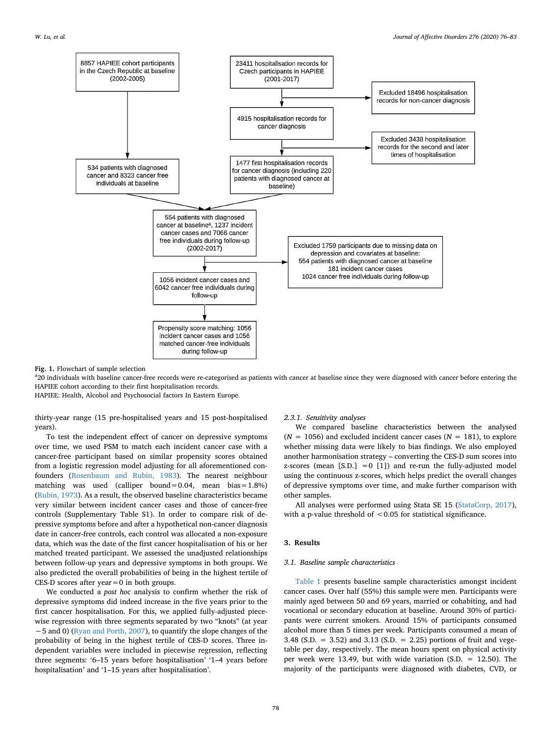<span id="page-2-0"></span>

**Fig. 1.** Flowchart of sample selection

<sup>a</sup>20 individuals with baseline cancer-free records were re-categorised as patients with cancer at baseline since they were diagnosed with cancer before entering the HAPIEE cohort according to their first hospitalisation records.

HAPIEE: Health, Alcohol and Psychosocial factors In Eastern Europe.

thirty-year range (15 pre-hospitalised years and 15 post-hospitalised years).

To test the independent effect of cancer on depressive symptoms over time, we used PSM to match each incident cancer case with a cancer-free participant based on similar propensity scores obtained from a logistic regression model adjusting for all aforementioned confounders [\(Rosenbaum and Rubin, 1983\)](#page-7-15). The nearest neighbour matching was used (calliper bound=0.04, mean bias= $1.8\%$ ) ([Rubin, 1973\)](#page-7-23). As a result, the observed baseline characteristics became very similar between incident cancer cases and those of cancer-free controls (Supplementary Table S1). In order to compare risk of depressive symptoms before and after a hypothetical non-cancer diagnosis date in cancer-free controls, each control was allocated a non-exposure data, which was the date of the first cancer hospitalisation of his or her matched treated participant. We assessed the unadjusted relationships between follow-up years and depressive symptoms in both groups. We also predicted the overall probabilities of being in the highest tertile of CES-D scores after year=0 in both groups.

We conducted a *post hoc* analysis to confirm whether the risk of depressive symptoms did indeed increase in the five years prior to the first cancer hospitalisation. For this, we applied fully-adjusted piecewise regression with three segments separated by two "knots" (at year −5 and 0) ([Ryan and Porth, 2007\)](#page-7-24), to quantify the slope changes of the probability of being in the highest tertile of CES-D scores. Three independent variables were included in piecewise regression, reflecting three segments: '6–15 years before hospitalisation' '1–4 years before hospitalisation' and '1–15 years after hospitalisation'.

## *2.3.1. Sensitivity analyses*

We compared baseline characteristics between the analysed  $(N = 1056)$  and excluded incident cancer cases  $(N = 181)$ , to explore whether missing data were likely to bias findings. We also employed another harmonisation strategy – converting the CES-D sum scores into z-scores (mean  $[S.D.] = 0$  [1]) and re-run the fully-adjusted model using the continuous z-scores, which helps predict the overall changes of depressive symptoms over time, and make further comparison with other samples.

All analyses were performed using Stata SE 15 ([StataCorp, 2017](#page-7-25)), with a p-value threshold of  $< 0.05$  for statistical significance.

## **3. Results**

## *3.1. Baseline sample characteristics*

[Table 1](#page-3-0) presents baseline sample characteristics amongst incident cancer cases. Over half (55%) this sample were men. Participants were mainly aged between 50 and 69 years, married or cohabiting, and had vocational or secondary education at baseline. Around 30% of participants were current smokers. Around 15% of participants consumed alcohol more than 5 times per week. Participants consumed a mean of 3.48 (S.D. = 3.52) and 3.13 (S.D. = 2.25) portions of fruit and vegetable per day, respectively. The mean hours spent on physical activity per week were 13.49, but with wide variation (S.D. = 12.50). The majority of the participants were diagnosed with diabetes, CVD, or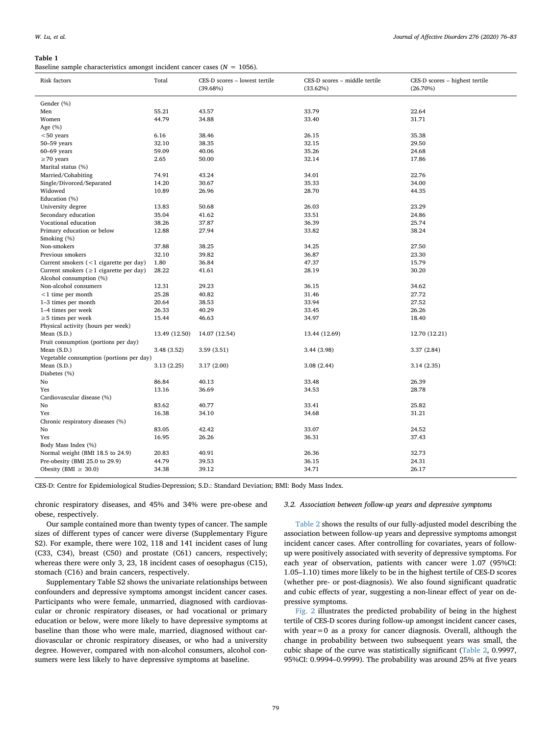#### <span id="page-3-0"></span>**Table 1**

Baseline sample characteristics amongst incident cancer cases ( $N = 1056$ ).

| Risk factors                                  | Total         | CES-D scores - lowest tertile<br>(39.68%) | CES-D scores - middle tertile<br>(33.62%) | CES-D scores - highest tertile<br>$(26.70\%)$ |  |  |
|-----------------------------------------------|---------------|-------------------------------------------|-------------------------------------------|-----------------------------------------------|--|--|
| Gender (%)                                    |               |                                           |                                           |                                               |  |  |
| Men                                           | 55.21         | 43.57                                     | 33.79                                     | 22.64                                         |  |  |
| Women                                         | 44.79         | 34.88                                     | 33.40                                     | 31.71                                         |  |  |
| Age (%)                                       |               |                                           |                                           |                                               |  |  |
| $< 50$ years                                  | 6.16          | 38.46                                     | 26.15                                     | 35.38                                         |  |  |
| $50 - 59$ years                               | 32.10         | 38.35                                     | 32.15                                     | 29.50                                         |  |  |
| $60-69$ years                                 | 59.09         | 40.06                                     | 35.26                                     | 24.68                                         |  |  |
| $\geq$ 70 years                               | 2.65          | 50.00                                     | 32.14                                     | 17.86                                         |  |  |
| Marital status (%)                            |               |                                           |                                           |                                               |  |  |
| Married/Cohabiting                            | 74.91         | 43.24                                     | 34.01                                     | 22.76                                         |  |  |
| Single/Divorced/Separated                     | 14.20         | 30.67                                     | 35.33                                     | 34.00                                         |  |  |
| Widowed                                       | 10.89         | 26.96                                     | 28.70                                     | 44.35                                         |  |  |
| Education (%)                                 |               |                                           |                                           |                                               |  |  |
| University degree                             | 13.83         | 50.68                                     | 26.03                                     | 23.29                                         |  |  |
| Secondary education                           | 35.04         | 41.62                                     | 33.51                                     | 24.86                                         |  |  |
| Vocational education                          | 38.26         | 37.87                                     | 36.39                                     | 25.74                                         |  |  |
| Primary education or below                    | 12.88         | 27.94                                     | 33.82                                     | 38.24                                         |  |  |
| Smoking (%)                                   |               |                                           |                                           |                                               |  |  |
| Non-smokers                                   | 37.88         | 38.25                                     | 34.25                                     | 27.50                                         |  |  |
| Previous smokers                              | 32.10         | 39.82                                     | 36.87                                     | 23.30                                         |  |  |
| Current smokers (<1 cigarette per day)        | 1.80          | 36.84                                     | 47.37                                     | 15.79                                         |  |  |
| Current smokers ( $\geq 1$ cigarette per day) | 28.22         | 41.61                                     | 28.19                                     | 30.20                                         |  |  |
| Alcohol consumption (%)                       |               |                                           |                                           |                                               |  |  |
| Non-alcohol consumers                         | 12.31         | 29.23                                     | 36.15                                     | 34.62                                         |  |  |
| $<$ 1 time per month                          | 25.28         | 40.82                                     | 31.46                                     | 27.72                                         |  |  |
| 1-3 times per month                           | 20.64         | 38.53                                     | 33.94                                     | 27.52                                         |  |  |
| 1-4 times per week                            | 26.33         | 40.29                                     | 33.45                                     | 26.26                                         |  |  |
| $\geq$ 5 times per week                       | 15.44         | 46.63                                     | 34.97                                     | 18.40                                         |  |  |
| Physical activity (hours per week)            |               |                                           |                                           |                                               |  |  |
| Mean $(S.D.)$                                 | 13.49 (12.50) | 14.07 (12.54)                             | 13.44 (12.69)                             | 12.70 (12.21)                                 |  |  |
| Fruit consumption (portions per day)          |               |                                           |                                           |                                               |  |  |
| Mean $(S.D.)$                                 | 3.48 (3.52)   | 3.59(3.51)                                | 3.44 (3.98)                               | 3.37(2.84)                                    |  |  |
| Vegetable consumption (portions per day)      |               |                                           |                                           |                                               |  |  |
| Mean $(S.D.)$                                 | 3.13(2.25)    | 3.17(2.00)                                | 3.08(2.44)                                | 3.14(2.35)                                    |  |  |
| Diabetes (%)                                  |               |                                           |                                           |                                               |  |  |
| No                                            | 86.84         | 40.13                                     | 33.48                                     | 26.39                                         |  |  |
| Yes                                           | 13.16         | 36.69                                     | 34.53                                     | 28.78                                         |  |  |
| Cardiovascular disease (%)                    |               |                                           |                                           |                                               |  |  |
| No                                            | 83.62         | 40.77                                     | 33.41                                     | 25.82                                         |  |  |
| Yes                                           | 16.38         | 34.10                                     | 34.68                                     | 31.21                                         |  |  |
| Chronic respiratory diseases (%)              |               |                                           |                                           |                                               |  |  |
| No                                            | 83.05         | 42.42                                     | 33.07                                     | 24.52                                         |  |  |
| Yes                                           | 16.95         | 26.26                                     | 36.31                                     | 37.43                                         |  |  |
| Body Mass Index (%)                           |               |                                           |                                           |                                               |  |  |
| Normal weight (BMI 18.5 to 24.9)              | 20.83         | 40.91                                     | 26.36                                     | 32.73                                         |  |  |
| Pre-obesity (BMI 25.0 to 29.9)                | 44.79         | 39.53                                     | 36.15                                     | 24.31                                         |  |  |
| Obesity (BMI $\geq$ 30.0)                     | 34.38         | 39.12                                     | 34.71                                     | 26.17                                         |  |  |

CES-D: Centre for Epidemiological Studies-Depression; S.D.: Standard Deviation; BMI: Body Mass Index.

chronic respiratory diseases, and 45% and 34% were pre-obese and obese, respectively.

Our sample contained more than twenty types of cancer. The sample sizes of different types of cancer were diverse (Supplementary Figure S2). For example, there were 102, 118 and 141 incident cases of lung (C33, C34), breast (C50) and prostate (C61) cancers, respectively; whereas there were only 3, 23, 18 incident cases of oesophagus (C15), stomach (C16) and brain cancers, respectively.

Supplementary Table S2 shows the univariate relationships between confounders and depressive symptoms amongst incident cancer cases. Participants who were female, unmarried, diagnosed with cardiovascular or chronic respiratory diseases, or had vocational or primary education or below, were more likely to have depressive symptoms at baseline than those who were male, married, diagnosed without cardiovascular or chronic respiratory diseases, or who had a university degree. However, compared with non-alcohol consumers, alcohol consumers were less likely to have depressive symptoms at baseline.

## *3.2. Association between follow-up years and depressive symptoms*

[Table 2](#page-4-0) shows the results of our fully-adjusted model describing the association between follow-up years and depressive symptoms amongst incident cancer cases. After controlling for covariates, years of followup were positively associated with severity of depressive symptoms. For each year of observation, patients with cancer were 1.07 (95%CI: 1.05–1.10) times more likely to be in the highest tertile of CES-D scores (whether pre- or post-diagnosis). We also found significant quadratic and cubic effects of year, suggesting a non-linear effect of year on depressive symptoms.

[Fig. 2](#page-4-1) illustrates the predicted probability of being in the highest tertile of CES-D scores during follow-up amongst incident cancer cases, with year=0 as a proxy for cancer diagnosis. Overall, although the change in probability between two subsequent years was small, the cubic shape of the curve was statistically significant ([Table 2,](#page-4-0) 0.9997, 95%CI: 0.9994–0.9999). The probability was around 25% at five years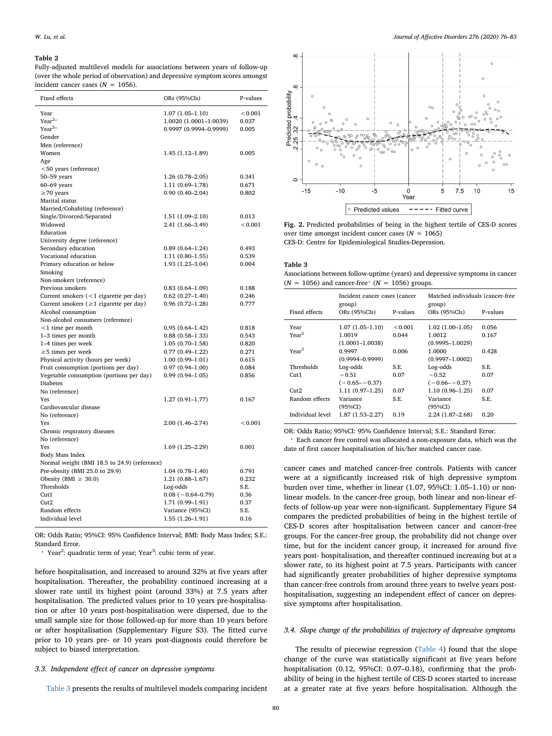#### <span id="page-4-0"></span>**Table 2**

Fully-adjusted multilevel models for associations between years of follow-up (over the whole period of observation) and depressive symptom scores amongst incident cancer cases ( $N = 1056$ ).

| Fixed effects                                 | ORs (95%CIs)           | P-values |  |
|-----------------------------------------------|------------------------|----------|--|
| Year                                          | $1.07(1.05 - 1.10)$    | < 0.001  |  |
| Year <sup>2</sup> *                           | 1.0020 (1.0001-1.0039) | 0.037    |  |
| $Year^{3*}$                                   | 0.9997 (0.9994-0.9999) | 0.005    |  |
| Gender                                        |                        |          |  |
| Men (reference)                               |                        |          |  |
| Women                                         | 1.45 (1.12–1.89)       | 0.005    |  |
| Age                                           |                        |          |  |
| $<$ 50 years (reference)                      |                        |          |  |
| 50-59 years                                   | 1.26 (0.78-2.05)       | 0.341    |  |
| $60-69$ years                                 | 1.11 (0.69-1.78)       | 0.671    |  |
| $\geq$ 70 years                               | $0.90(0.40 - 2.04)$    | 0.802    |  |
| Marital status                                |                        |          |  |
| Married/Cohabiting (reference)                |                        |          |  |
| Single/Divorced/Separated                     | 1.51 (1.09-2.10)       | 0.013    |  |
| Widowed                                       | 2.41 (1.66-3.49)       | < 0.001  |  |
| Education                                     |                        |          |  |
| University degree (reference)                 |                        |          |  |
| Secondary education                           | $0.89(0.64 - 1.24)$    | 0.493    |  |
| Vocational education                          | $1.11(0.80 - 1.55)$    | 0.539    |  |
| Primary education or below                    | 1.93 (1.23-3.04)       | 0.004    |  |
| Smoking                                       |                        |          |  |
| Non-smokers (reference)                       |                        |          |  |
| Previous smokers                              | $0.83(0.64 - 1.09)$    | 0.188    |  |
| Current smokers $(< 1$ cigarette per day)     | $0.62(0.27-1.40)$      | 0.246    |  |
| Current smokers ( $\geq 1$ cigarette per day) | $0.96(0.72 - 1.28)$    | 0.777    |  |
| Alcohol consumption                           |                        |          |  |
| Non-alcohol consumers (reference)             |                        |          |  |
| $<$ 1 time per month                          | $0.95(0.64 - 1.42)$    | 0.818    |  |
| 1-3 times per month                           | $0.88(0.58 - 1.33)$    | 0.543    |  |
| 1–4 times per week                            | $1.05(0.70-1.58)$      | 0.820    |  |
| $\geq$ 5 times per week                       | $0.77(0.49 - 1.22)$    | 0.271    |  |
| Physical activity (hours per week)            | $1.00(0.99 - 1.01)$    | 0.615    |  |
| Fruit consumption (portions per day)          | $0.97(0.94 - 1.00)$    | 0.084    |  |
| Vegetable consumption (portions per day)      | $0.99(0.94 - 1.05)$    | 0.856    |  |
| <b>Diabetes</b>                               |                        |          |  |
| No (reference)                                |                        |          |  |
| Yes                                           | $1.27(0.91 - 1.77)$    | 0.167    |  |
| Cardiovascular disease                        |                        |          |  |
| No (reference)                                |                        |          |  |
| Yes                                           | 2.00 (1.46-2.74)       | < 0.001  |  |
| Chronic respiratory diseases                  |                        |          |  |
| No (reference)                                |                        |          |  |
| Yes                                           | 1.69 (1.25–2.29)       | 0.001    |  |
| Body Mass Index                               |                        |          |  |
| Normal weight (BMI 18.5 to 24.9) (reference)  |                        |          |  |
| Pre-obesity (BMI 25.0 to 29.9)                | $1.04(0.78 - 1.40)$    | 0.791    |  |
| Obesity (BMI $\geq$ 30.0)<br>Thresholds       | $1.21(0.88 - 1.67)$    | 0.232    |  |
|                                               | Log-odds               | S.E.     |  |
| Cut1                                          | $0.08 (-0.64 - 0.79)$  | 0.36     |  |
| Cut2                                          | 1.71 (0.99-1.91)       | 0.37     |  |
| Random effects                                | Variance (95%CI)       | S.E.     |  |
| Individual level                              | $1.55(1.26-1.91)$      | 0.16     |  |

OR: Odds Ratio; 95%CI: 95% Confidence Interval; BMI: Body Mass Index; S.E.: Standard Error.

<span id="page-4-3"></span>\* Year<sup>2</sup>: quadratic term of year; Year<sup>3</sup>: cubic term of year.

before hospitalisation, and increased to around 32% at five years after hospitalisation. Thereafter, the probability continued increasing at a slower rate until its highest point (around 33%) at 7.5 years after hospitalisation. The predicted values prior to 10 years pre-hospitalisation or after 10 years post-hospitalisation were dispersed, due to the small sample size for those followed-up for more than 10 years before or after hospitalisation (Supplementary Figure S3). The fitted curve prior to 10 years pre- or 10 years post-diagnosis could therefore be subject to biased interpretation.

## *3.3. Independent effect of cancer on depressive symptoms*

[Table 3](#page-4-2) presents the results of multilevel models comparing incident

<span id="page-4-1"></span>

**Fig. 2.** Predicted probabilities of being in the highest tertile of CES-D scores over time amongst incident cancer cases  $(N = 1065)$ CES-D: Centre for Epidemiological Studies-Depression.

#### <span id="page-4-2"></span>**Table 3**

Associations between follow-uptime (years) and depressive symptoms in cancer  $(N = 1056)$  and cancer-free[\\*](#page-4-4)  $(N = 1056)$  groups.

|                   | Incident cancer cases (cancer<br>group) |          | Matched individuals (cancer-free<br>group) |          |  |
|-------------------|-----------------------------------------|----------|--------------------------------------------|----------|--|
| Fixed effects     | ORs (95%CIs)                            | P-values | ORs (95%CIs)                               | P-values |  |
| Year              | $1.07(1.05-1.10)$                       | < 0.001  | $1.02(1.00-1.05)$                          | 0.056    |  |
| Year <sup>2</sup> | 1.0019                                  | 0.044    | 1.0012                                     | 0.167    |  |
|                   | $(1.0001 - 1.0038)$                     |          | $(0.9995 - 1.0029)$                        |          |  |
| Year <sup>3</sup> | 0.9997                                  | 0.006    | 1.0000                                     | 0.428    |  |
|                   | $(0.9994 - 0.9999)$                     |          | $(0.9997 - 1.0002)$                        |          |  |
| Thresholds        | Log-odds                                | S.E.     | Log-odds                                   | S.E.     |  |
| Cut1              | $-0.51$                                 | 0.07     | $-0.52$                                    | 0.07     |  |
|                   | $(-0.65 - -0.37)$                       |          | $(-0.66 - -0.37)$                          |          |  |
| Cut2              | $1.11(0.97-1.25)$                       | 0.07     | $1.10(0.96 - 1.25)$                        | 0.07     |  |
| Random effects    | Variance                                | S.E.     | Variance                                   | S.E.     |  |
|                   | (95%CI)                                 |          | $(95\%CI)$                                 |          |  |
| Individual level  | 1.87 (1.53–2.27)                        | 0.19     | 2.24 (1.87-2.68)                           | 0.20     |  |

OR: Odds Ratio; 95%CI: 95% Confidence Interval; S.E.: Standard Error.

<span id="page-4-4"></span>⁎ Each cancer free control was allocated a non-exposure data, which was the date of first cancer hospitalisation of his/her matched cancer case.

cancer cases and matched cancer-free controls. Patients with cancer were at a significantly increased risk of high depressive symptom burden over time, whether in linear (1.07, 95%CI: 1.05–1.10) or nonlinear models. In the cancer-free group, both linear and non-linear effects of follow-up year were non-significant. Supplementary Figure S4 compares the predicted probabilities of being in the highest tertile of CES-D scores after hospitalisation between cancer and cancer-free groups. For the cancer-free group, the probability did not change over time, but for the incident cancer group, it increased for around five years post- hospitalisation, and thereafter continued increasing but at a slower rate, to its highest point at 7.5 years. Participants with cancer had significantly greater probabilities of higher depressive symptoms than cancer-free controls from around three years to twelve years posthospitalisation, suggesting an independent effect of cancer on depressive symptoms after hospitalisation.

## *3.4. Slope change of the probabilities of trajectory of depressive symptoms*

The results of piecewise regression ([Table 4](#page-5-0)) found that the slope change of the curve was statistically significant at five years before hospitalisation (0.12, 95%CI: 0.07–0.18), confirming that the probability of being in the highest tertile of CES-D scores started to increase at a greater rate at five years before hospitalisation. Although the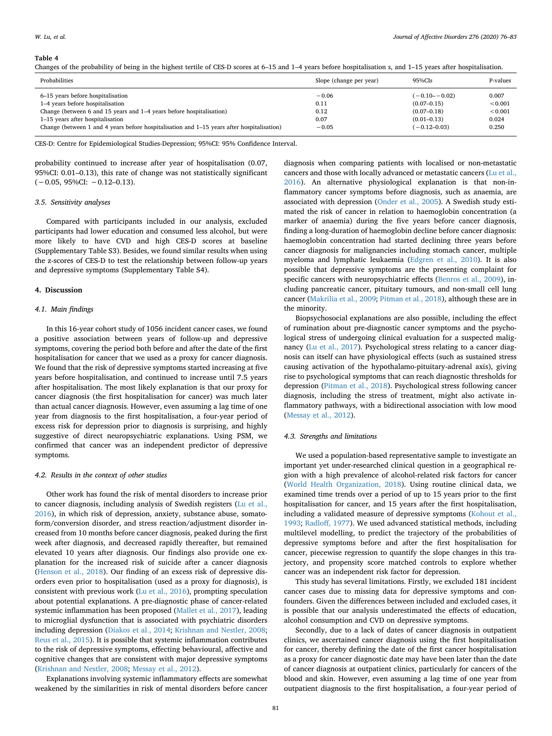#### <span id="page-5-0"></span>**Table 4**

Changes of the probability of being in the highest tertile of CES-D scores at 6–15 and 1–4 years before hospitalisation s, and 1–15 years after hospitalisation.

| Probabilities                                                                                | Slope (change per year) | $95\%$ CIs       | P-values      |
|----------------------------------------------------------------------------------------------|-------------------------|------------------|---------------|
| 6–15 years before hospitalisation                                                            | $-0.06$                 | $(-0.10 - 0.02)$ | 0.007         |
| 1-4 years before hospitalisation                                                             | 0.11                    | $(0.07 - 0.15)$  | ${}_{<0.001}$ |
| Change (between 6 and 15 years and 1–4 years before hospitalisation)                         | 0.12                    | $(0.07 - 0.18)$  | ${}_{0.001}$  |
| 1-15 years after hospitalisation                                                             | 0.07                    | $(0.01 - 0.13)$  | 0.024         |
| Change (between 1 and 4 years before hospitalisation and $1-15$ years after hospitalisation) | $-0.05$                 | $(-0.12 - 0.03)$ | 0.250         |

CES-D: Centre for Epidemiological Studies-Depression; 95%CI: 95% Confidence Interval.

probability continued to increase after year of hospitalisation (0.07, 95%CI: 0.01–0.13), this rate of change was not statistically significant (−0.05, 95%CI: −0.12–0.13).

#### *3.5. Sensitivity analyses*

Compared with participants included in our analysis, excluded participants had lower education and consumed less alcohol, but were more likely to have CVD and high CES-D scores at baseline (Supplementary Table S3). Besides, we found similar results when using the z-scores of CES-D to test the relationship between follow-up years and depressive symptoms (Supplementary Table S4).

#### **4. Discussion**

## *4.1. Main findings*

In this 16-year cohort study of 1056 incident cancer cases, we found a positive association between years of follow-up and depressive symptoms, covering the period both before and after the date of the first hospitalisation for cancer that we used as a proxy for cancer diagnosis. We found that the risk of depressive symptoms started increasing at five years before hospitalisation, and continued to increase until 7.5 years after hospitalisation. The most likely explanation is that our proxy for cancer diagnosis (the first hospitalisation for cancer) was much later than actual cancer diagnosis. However, even assuming a lag time of one year from diagnosis to the first hospitalisation, a four-year period of excess risk for depression prior to diagnosis is surprising, and highly suggestive of direct neuropsychiatric explanations. Using PSM, we confirmed that cancer was an independent predictor of depressive symptoms.

#### *4.2. Results in the context of other studies*

Other work has found the risk of mental disorders to increase prior to cancer diagnosis, including analysis of Swedish registers [\(Lu et al.,](#page-7-6) [2016\)](#page-7-6), in which risk of depression, anxiety, substance abuse, somatoform/conversion disorder, and stress reaction/adjustment disorder increased from 10 months before cancer diagnosis, peaked during the first week after diagnosis, and decreased rapidly thereafter, but remained elevated 10 years after diagnosis. Our findings also provide one explanation for the increased risk of suicide after a cancer diagnosis ([Henson et al., 2018](#page-7-9)). Our finding of an excess risk of depressive disorders even prior to hospitalisation (used as a proxy for diagnosis), is consistent with previous work ([Lu et al., 2016](#page-7-6)), prompting speculation about potential explanations. A pre-diagnostic phase of cancer-related systemic inflammation has been proposed [\(Mallet et al., 2017](#page-7-26)), leading to microglial dysfunction that is associated with psychiatric disorders including depression ([Diakos et al., 2014;](#page-7-27) [Krishnan and Nestler, 2008](#page-7-28); [Reus et al., 2015\)](#page-7-29). It is possible that systemic inflammation contributes to the risk of depressive symptoms, effecting behavioural, affective and cognitive changes that are consistent with major depressive symptoms ([Krishnan and Nestler, 2008](#page-7-28); [Messay et al., 2012](#page-7-13)).

Explanations involving systemic inflammatory effects are somewhat weakened by the similarities in risk of mental disorders before cancer

diagnosis when comparing patients with localised or non-metastatic cancers and those with locally advanced or metastatic cancers ([Lu et al.,](#page-7-6) [2016\)](#page-7-6). An alternative physiological explanation is that non-inflammatory cancer symptoms before diagnosis, such as anaemia, are associated with depression [\(Onder et al., 2005](#page-7-30)). A Swedish study estimated the risk of cancer in relation to haemoglobin concentration (a marker of anaemia) during the five years before cancer diagnosis, finding a long-duration of haemoglobin decline before cancer diagnosis: haemoglobin concentration had started declining three years before cancer diagnosis for malignancies including stomach cancer, multiple myeloma and lymphatic leukaemia ([Edgren et al., 2010](#page-7-31)). It is also possible that depressive symptoms are the presenting complaint for specific cancers with neuropsychiatric effects ([Benros et al., 2009](#page-7-32)), including pancreatic cancer, pituitary tumours, and non-small cell lung cancer ([Makrilia et al., 2009;](#page-7-33) [Pitman et al., 2018\)](#page-7-1), although these are in the minority.

Biopsychosocial explanations are also possible, including the effect of rumination about pre-diagnostic cancer symptoms and the psychological stress of undergoing clinical evaluation for a suspected malignancy [\(Lu et al., 2017](#page-7-34)). Psychological stress relating to a cancer diagnosis can itself can have physiological effects (such as sustained stress causing activation of the hypothalamo-pituitary-adrenal axis), giving rise to psychological symptoms that can reach diagnostic thresholds for depression ([Pitman et al., 2018](#page-7-1)). Psychological stress following cancer diagnosis, including the stress of treatment, might also activate inflammatory pathways, with a bidirectional association with low mood ([Messay et al., 2012\)](#page-7-13).

#### *4.3. Strengths and limitations*

We used a population-based representative sample to investigate an important yet under-researched clinical question in a geographical region with a high prevalence of alcohol-related risk factors for cancer ([World Health Organization, 2018](#page-7-35)). Using routine clinical data, we examined time trends over a period of up to 15 years prior to the first hospitalisation for cancer, and 15 years after the first hospitalisation, including a validated measure of depressive symptoms ([Kohout et al.,](#page-7-17) [1993;](#page-7-17) [Radloff, 1977\)](#page-7-16). We used advanced statistical methods, including multilevel modelling, to predict the trajectory of the probabilities of depressive symptoms before and after the first hospitalisation for cancer, piecewise regression to quantify the slope changes in this trajectory, and propensity score matched controls to explore whether cancer was an independent risk factor for depression.

This study has several limitations. Firstly, we excluded 181 incident cancer cases due to missing data for depressive symptoms and confounders. Given the differences between included and excluded cases, it is possible that our analysis underestimated the effects of education, alcohol consumption and CVD on depressive symptoms.

Secondly, due to a lack of dates of cancer diagnosis in outpatient clinics, we ascertained cancer diagnosis using the first hospitalisation for cancer, thereby defining the date of the first cancer hospitalisation as a proxy for cancer diagnostic date may have been later than the date of cancer diagnosis at outpatient clinics, particularly for cancers of the blood and skin. However, even assuming a lag time of one year from outpatient diagnosis to the first hospitalisation, a four-year period of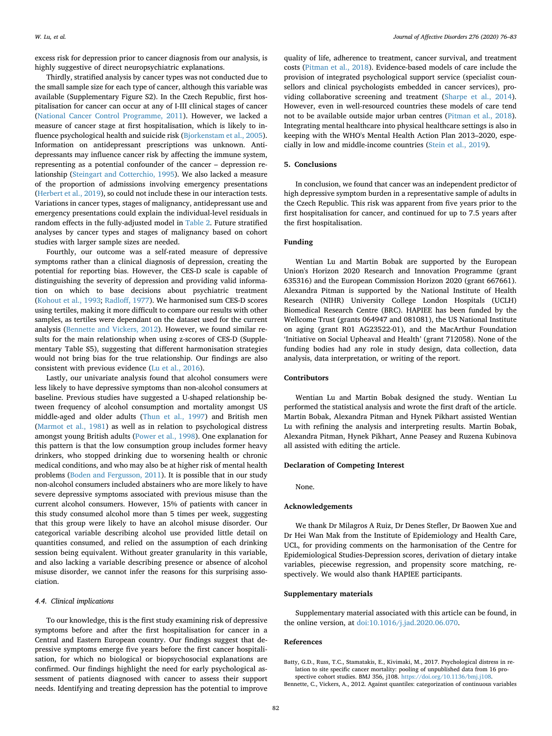excess risk for depression prior to cancer diagnosis from our analysis, is highly suggestive of direct neuropsychiatric explanations.

Thirdly, stratified analysis by cancer types was not conducted due to the small sample size for each type of cancer, although this variable was available (Supplementary Figure S2). In the Czech Republic, first hospitalisation for cancer can occur at any of I-III clinical stages of cancer ([National Cancer Control Programme, 2011\)](#page-7-36). However, we lacked a measure of cancer stage at first hospitalisation, which is likely to influence psychological health and suicide risk [\(Bjorkenstam et al., 2005](#page-7-37)). Information on antidepressant prescriptions was unknown. Antidepressants may influence cancer risk by affecting the immune system, representing as a potential confounder of the cancer – depression relationship [\(Steingart and Cotterchio, 1995](#page-7-38)). We also lacked a measure of the proportion of admissions involving emergency presentations ([Herbert et al., 2019\)](#page-7-39), so could not include these in our interaction tests. Variations in cancer types, stages of malignancy, antidepressant use and emergency presentations could explain the individual-level residuals in random effects in the fully-adjusted model in [Table 2.](#page-4-0) Future stratified analyses by cancer types and stages of malignancy based on cohort studies with larger sample sizes are needed.

Fourthly, our outcome was a self-rated measure of depressive symptoms rather than a clinical diagnosis of depression, creating the potential for reporting bias. However, the CES-D scale is capable of distinguishing the severity of depression and providing valid information on which to base decisions about psychiatric treatment ([Kohout et al., 1993;](#page-7-17) [Radloff, 1977](#page-7-16)). We harmonised sum CES-D scores using tertiles, making it more difficult to compare our results with other samples, as tertiles were dependant on the dataset used for the current analysis [\(Bennette and Vickers, 2012](#page-6-1)). However, we found similar results for the main relationship when using z-scores of CES-D (Supplementary Table S5), suggesting that different harmonisation strategies would not bring bias for the true relationship. Our findings are also consistent with previous evidence ([Lu et al., 2016\)](#page-7-6).

Lastly, our univariate analysis found that alcohol consumers were less likely to have depressive symptoms than non-alcohol consumers at baseline. Previous studies have suggested a U-shaped relationship between frequency of alcohol consumption and mortality amongst US middle-aged and older adults [\(Thun et al., 1997](#page-7-40)) and British men ([Marmot et al., 1981](#page-7-41)) as well as in relation to psychological distress amongst young British adults [\(Power et al., 1998\)](#page-7-42). One explanation for this pattern is that the low consumption group includes former heavy drinkers, who stopped drinking due to worsening health or chronic medical conditions, and who may also be at higher risk of mental health problems ([Boden and Fergusson, 2011](#page-7-43)). It is possible that in our study non-alcohol consumers included abstainers who are more likely to have severe depressive symptoms associated with previous misuse than the current alcohol consumers. However, 15% of patients with cancer in this study consumed alcohol more than 5 times per week, suggesting that this group were likely to have an alcohol misuse disorder. Our categorical variable describing alcohol use provided little detail on quantities consumed, and relied on the assumption of each drinking session being equivalent. Without greater granularity in this variable, and also lacking a variable describing presence or absence of alcohol misuse disorder, we cannot infer the reasons for this surprising association.

## *4.4. Clinical implications*

To our knowledge, this is the first study examining risk of depressive symptoms before and after the first hospitalisation for cancer in a Central and Eastern European country. Our findings suggest that depressive symptoms emerge five years before the first cancer hospitalisation, for which no biological or biopsychosocial explanations are confirmed. Our findings highlight the need for early psychological assessment of patients diagnosed with cancer to assess their support needs. Identifying and treating depression has the potential to improve

quality of life, adherence to treatment, cancer survival, and treatment costs [\(Pitman et al., 2018\)](#page-7-1). Evidence-based models of care include the provision of integrated psychological support service (specialist counsellors and clinical psychologists embedded in cancer services), providing collaborative screening and treatment [\(Sharpe et al., 2014](#page-7-44)). However, even in well-resourced countries these models of care tend not to be available outside major urban centres [\(Pitman et al., 2018](#page-7-1)). Integrating mental healthcare into physical healthcare settings is also in keeping with the WHO's Mental Health Action Plan 2013–2020, especially in low and middle-income countries ([Stein et al., 2019\)](#page-7-45).

## **5. Conclusions**

In conclusion, we found that cancer was an independent predictor of high depressive symptom burden in a representative sample of adults in the Czech Republic. This risk was apparent from five years prior to the first hospitalisation for cancer, and continued for up to 7.5 years after the first hospitalisation.

## **Funding**

Wentian Lu and Martin Bobak are supported by the European Union's Horizon 2020 Research and Innovation Programme (grant 635316) and the European Commission Horizon 2020 (grant 667661). Alexandra Pitman is supported by the National Institute of Health Research (NIHR) University College London Hospitals (UCLH) Biomedical Research Centre (BRC). HAPIEE has been funded by the Wellcome Trust (grants 064947 and 081081), the US National Institute on aging (grant R01 AG23522-01), and the MacArthur Foundation 'Initiative on Social Upheaval and Health' (grant 712058). None of the funding bodies had any role in study design, data collection, data analysis, data interpretation, or writing of the report.

## **Contributors**

Wentian Lu and Martin Bobak designed the study. Wentian Lu performed the statistical analysis and wrote the first draft of the article. Martin Bobak, Alexandra Pitman and Hynek Pikhart assisted Wentian Lu with refining the analysis and interpreting results. Martin Bobak, Alexandra Pitman, Hynek Pikhart, Anne Peasey and Ruzena Kubinova all assisted with editing the article.

#### **Declaration of Competing Interest**

None.

## **Acknowledgements**

We thank Dr Milagros A Ruiz, Dr Denes Stefler, Dr Baowen Xue and Dr Hei Wan Mak from the Institute of Epidemiology and Health Care, UCL, for providing comments on the harmonisation of the Centre for Epidemiological Studies-Depression scores, derivation of dietary intake variables, piecewise regression, and propensity score matching, respectively. We would also thank HAPIEE participants.

## **Supplementary materials**

Supplementary material associated with this article can be found, in the online version, at [doi:10.1016/j.jad.2020.06.070](https://doi.org/10.1016/j.jad.2020.06.070).

### **References**

<span id="page-6-0"></span>Batty, G.D., Russ, T.C., Stamatakis, E., Kivimaki, M., 2017. Psychological distress in relation to site specific cancer mortality: pooling of unpublished data from 16 prospective cohort studies. BMJ 356, j108. <https://doi.org/10.1136/bmj.j108>.

<span id="page-6-1"></span>Bennette, C., Vickers, A., 2012. Against quantiles: categorization of continuous variables